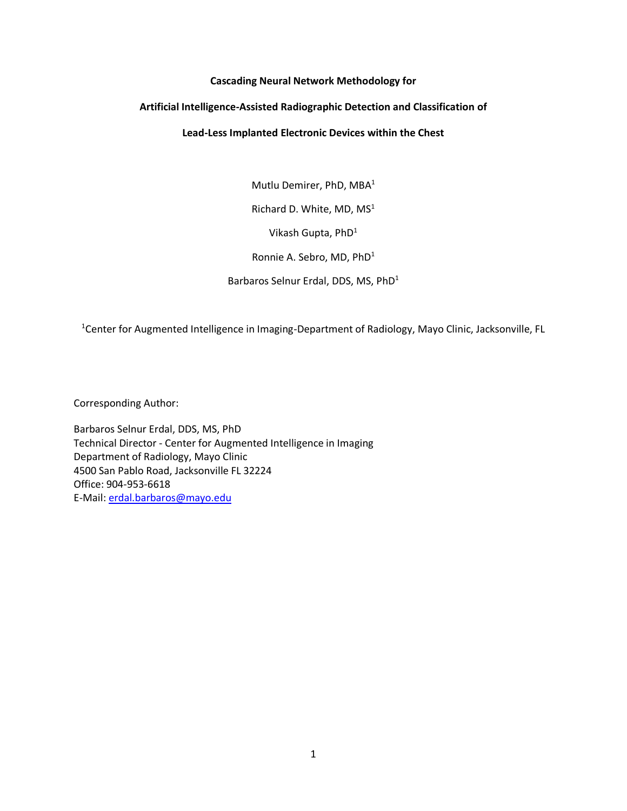# **Cascading Neural Network Methodology for**

# **Artificial Intelligence-Assisted Radiographic Detection and Classification of**

# **Lead-Less Implanted Electronic Devices within the Chest**

Mutlu Demirer, PhD, MBA<sup>1</sup> Richard D. White, MD, MS<sup>1</sup> Vikash Gupta, PhD<sup>1</sup> Ronnie A. Sebro, MD, PhD<sup>1</sup> Barbaros Selnur Erdal, DDS, MS, PhD<sup>1</sup>

<sup>1</sup>Center for Augmented Intelligence in Imaging-Department of Radiology, Mayo Clinic, Jacksonville, FL

Corresponding Author:

Barbaros Selnur Erdal, DDS, MS, PhD Technical Director - Center for Augmented Intelligence in Imaging Department of Radiology, Mayo Clinic 4500 San Pablo Road, Jacksonville FL 32224 Office: 904-953-6618 E-Mail: [erdal.barbaros@mayo.edu](mailto:erdal.barbaros@mayo.edu)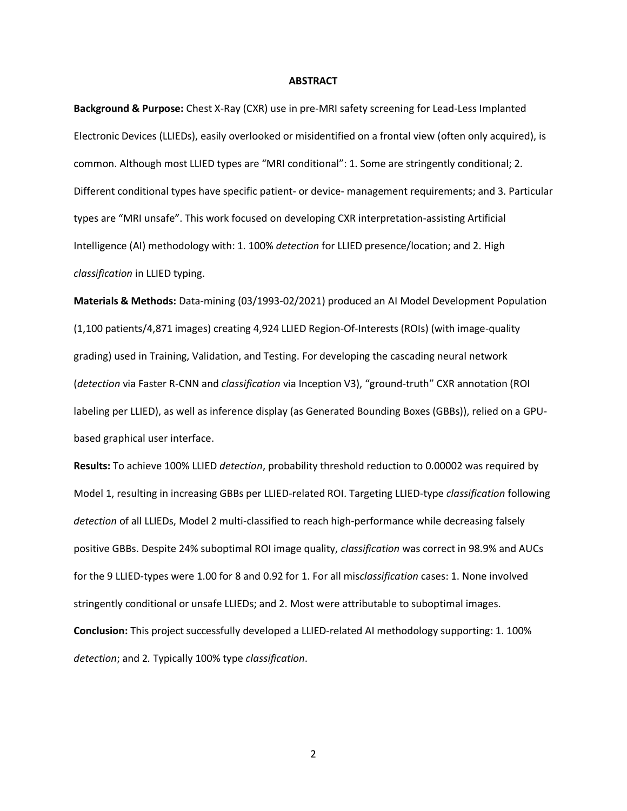#### **ABSTRACT**

**Background & Purpose:** Chest X-Ray (CXR) use in pre-MRI safety screening for Lead-Less Implanted Electronic Devices (LLIEDs), easily overlooked or misidentified on a frontal view (often only acquired), is common. Although most LLIED types are "MRI conditional": 1. Some are stringently conditional; 2. Different conditional types have specific patient- or device- management requirements; and 3. Particular types are "MRI unsafe". This work focused on developing CXR interpretation-assisting Artificial Intelligence (AI) methodology with: 1. 100% *detection* for LLIED presence/location; and 2. High *classification* in LLIED typing.

**Materials & Methods:** Data-mining (03/1993-02/2021) produced an AI Model Development Population (1,100 patients/4,871 images) creating 4,924 LLIED Region-Of-Interests (ROIs) (with image-quality grading) used in Training, Validation, and Testing. For developing the cascading neural network (*detection* via Faster R-CNN and *classification* via Inception V3), "ground-truth" CXR annotation (ROI labeling per LLIED), as well as inference display (as Generated Bounding Boxes (GBBs)), relied on a GPUbased graphical user interface.

**Results:** To achieve 100% LLIED *detection*, probability threshold reduction to 0.00002 was required by Model 1, resulting in increasing GBBs per LLIED-related ROI. Targeting LLIED-type *classification* following *detection* of all LLIEDs, Model 2 multi-classified to reach high-performance while decreasing falsely positive GBBs. Despite 24% suboptimal ROI image quality, *classification* was correct in 98.9% and AUCs for the 9 LLIED-types were 1.00 for 8 and 0.92 for 1. For all mis*classification* cases: 1. None involved stringently conditional or unsafe LLIEDs; and 2. Most were attributable to suboptimal images. **Conclusion:** This project successfully developed a LLIED-related AI methodology supporting: 1. 100% *detection*; and 2*.* Typically 100% type *classification*.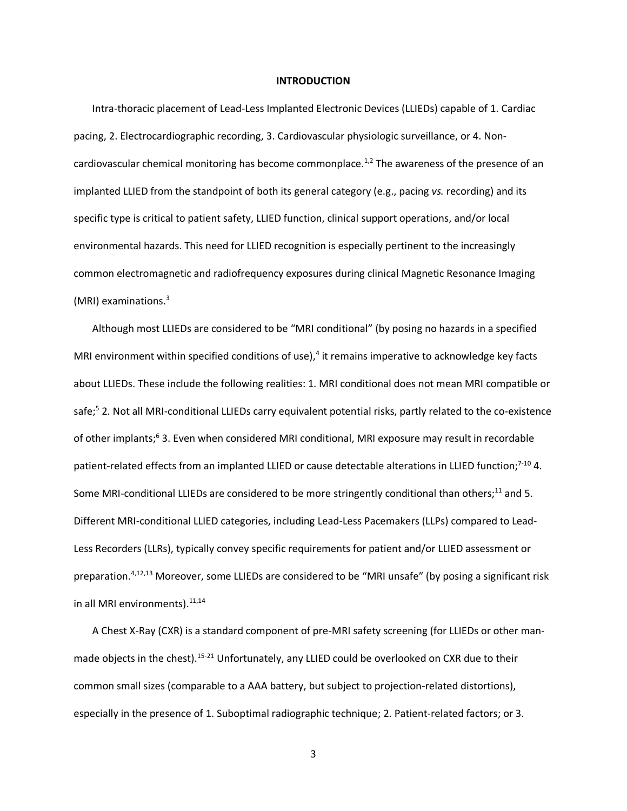#### **INTRODUCTION**

Intra-thoracic placement of Lead-Less Implanted Electronic Devices (LLIEDs) capable of 1. Cardiac pacing, 2. Electrocardiographic recording, 3. Cardiovascular physiologic surveillance, or 4. Noncardiovascular chemical monitoring has become commonplace.<sup>1,2</sup> The awareness of the presence of an implanted LLIED from the standpoint of both its general category (e.g., pacing *vs.* recording) and its specific type is critical to patient safety, LLIED function, clinical support operations, and/or local environmental hazards. This need for LLIED recognition is especially pertinent to the increasingly common electromagnetic and radiofrequency exposures during clinical Magnetic Resonance Imaging (MRI) examinations. 3

Although most LLIEDs are considered to be "MRI conditional" (by posing no hazards in a specified MRI environment within specified conditions of use),<sup>4</sup> it remains imperative to acknowledge key facts about LLIEDs. These include the following realities: 1. MRI conditional does not mean MRI compatible or safe;<sup>5</sup> 2. Not all MRI-conditional LLIEDs carry equivalent potential risks, partly related to the co-existence of other implants;<sup>6</sup> 3. Even when considered MRI conditional, MRI exposure may result in recordable patient-related effects from an implanted LLIED or cause detectable alterations in LLIED function;<sup>7-10</sup> 4. Some MRI-conditional LLIEDs are considered to be more stringently conditional than others;<sup>11</sup> and 5. Different MRI-conditional LLIED categories, including Lead-Less Pacemakers (LLPs) compared to Lead-Less Recorders (LLRs), typically convey specific requirements for patient and/or LLIED assessment or preparation.<sup>4,12,13</sup> Moreover, some LLIEDs are considered to be "MRI unsafe" (by posing a significant risk in all MRI environments).<sup>11,14</sup>

A Chest X-Ray (CXR) is a standard component of pre-MRI safety screening (for LLIEDs or other manmade objects in the chest).<sup>15-21</sup> Unfortunately, any LLIED could be overlooked on CXR due to their common small sizes (comparable to a AAA battery, but subject to projection-related distortions), especially in the presence of 1. Suboptimal radiographic technique; 2. Patient-related factors; or 3.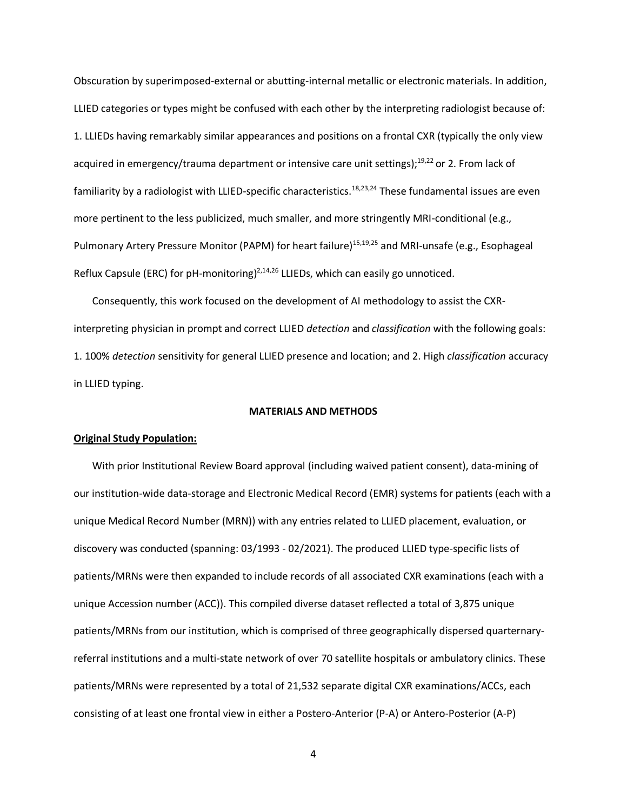Obscuration by superimposed-external or abutting-internal metallic or electronic materials. In addition, LLIED categories or types might be confused with each other by the interpreting radiologist because of: 1. LLIEDs having remarkably similar appearances and positions on a frontal CXR (typically the only view acquired in emergency/trauma department or intensive care unit settings);<sup>19,22</sup> or 2. From lack of familiarity by a radiologist with LLIED-specific characteristics. 18,23,24 These fundamental issues are even more pertinent to the less publicized, much smaller, and more stringently MRI-conditional (e.g., Pulmonary Artery Pressure Monitor (PAPM) for heart failure)<sup>15,19,25</sup> and MRI-unsafe (e.g., Esophageal Reflux Capsule (ERC) for pH-monitoring)<sup>2,14,26</sup> LLIEDs, which can easily go unnoticed.

Consequently, this work focused on the development of AI methodology to assist the CXRinterpreting physician in prompt and correct LLIED *detection* and *classification* with the following goals: 1. 100% *detection* sensitivity for general LLIED presence and location; and 2. High *classification* accuracy in LLIED typing.

## **MATERIALS AND METHODS**

# **Original Study Population:**

With prior Institutional Review Board approval (including waived patient consent), data-mining of our institution-wide data-storage and Electronic Medical Record (EMR) systems for patients (each with a unique Medical Record Number (MRN)) with any entries related to LLIED placement, evaluation, or discovery was conducted (spanning: 03/1993 - 02/2021). The produced LLIED type-specific lists of patients/MRNs were then expanded to include records of all associated CXR examinations (each with a unique Accession number (ACC)). This compiled diverse dataset reflected a total of 3,875 unique patients/MRNs from our institution, which is comprised of three geographically dispersed quarternaryreferral institutions and a multi-state network of over 70 satellite hospitals or ambulatory clinics. These patients/MRNs were represented by a total of 21,532 separate digital CXR examinations/ACCs, each consisting of at least one frontal view in either a Postero-Anterior (P-A) or Antero-Posterior (A-P)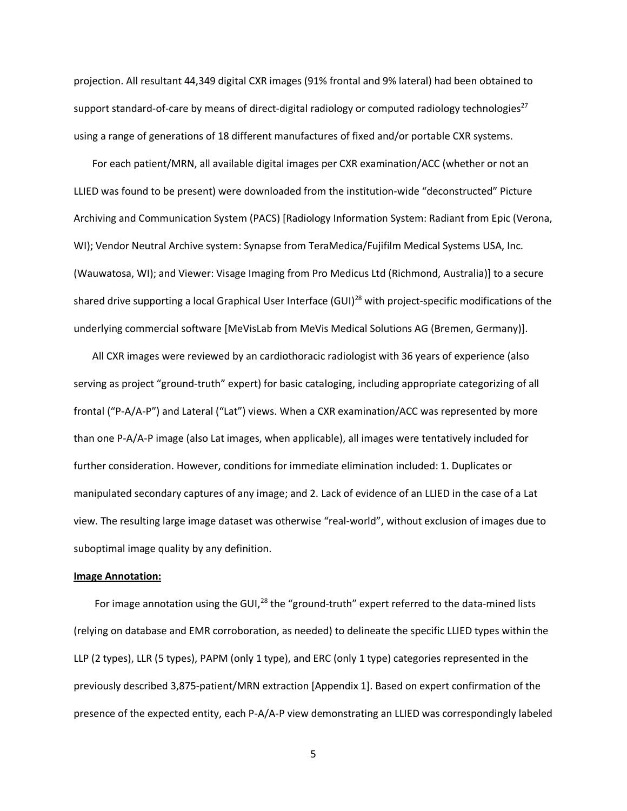projection. All resultant 44,349 digital CXR images (91% frontal and 9% lateral) had been obtained to support standard-of-care by means of direct-digital radiology or computed radiology technologies $^{27}$ using a range of generations of 18 different manufactures of fixed and/or portable CXR systems.

For each patient/MRN, all available digital images per CXR examination/ACC (whether or not an LLIED was found to be present) were downloaded from the institution-wide "deconstructed" Picture Archiving and Communication System (PACS) [Radiology Information System: Radiant from Epic (Verona, WI); Vendor Neutral Archive system: Synapse from TeraMedica/Fujifilm Medical Systems USA, Inc. (Wauwatosa, WI); and Viewer: Visage Imaging from Pro Medicus Ltd (Richmond, Australia)] to a secure shared drive supporting a local Graphical User Interface (GUI)<sup>28</sup> with project-specific modifications of the underlying commercial software [MeVisLab from MeVis Medical Solutions AG (Bremen, Germany)].

All CXR images were reviewed by an cardiothoracic radiologist with 36 years of experience (also serving as project "ground-truth" expert) for basic cataloging, including appropriate categorizing of all frontal ("P-A/A-P") and Lateral ("Lat") views. When a CXR examination/ACC was represented by more than one P-A/A-P image (also Lat images, when applicable), all images were tentatively included for further consideration. However, conditions for immediate elimination included: 1. Duplicates or manipulated secondary captures of any image; and 2. Lack of evidence of an LLIED in the case of a Lat view. The resulting large image dataset was otherwise "real-world", without exclusion of images due to suboptimal image quality by any definition.

#### **Image Annotation:**

For image annotation using the GUI,<sup>28</sup> the "ground-truth" expert referred to the data-mined lists (relying on database and EMR corroboration, as needed) to delineate the specific LLIED types within the LLP (2 types), LLR (5 types), PAPM (only 1 type), and ERC (only 1 type) categories represented in the previously described 3,875-patient/MRN extraction [Appendix 1]. Based on expert confirmation of the presence of the expected entity, each P-A/A-P view demonstrating an LLIED was correspondingly labeled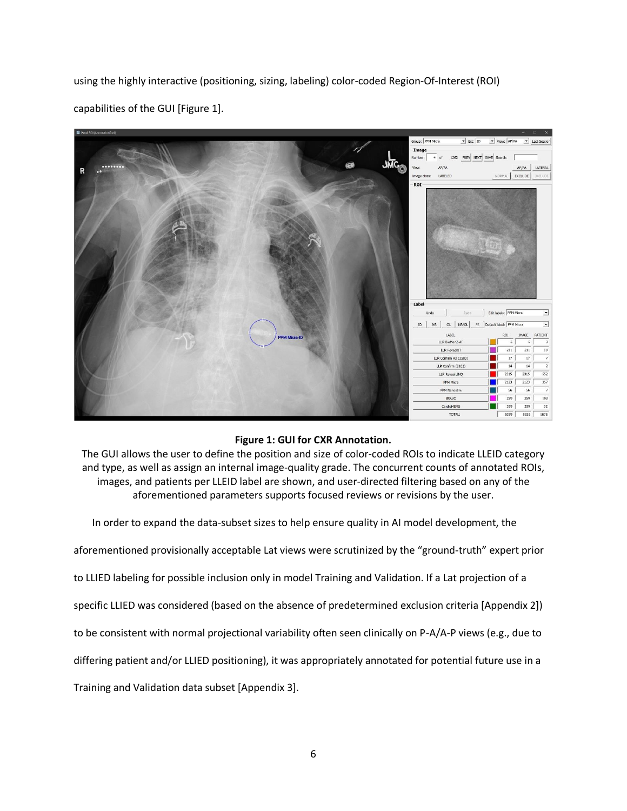using the highly interactive (positioning, sizing, labeling) color-coded Region-Of-Interest (ROI) capabilities of the GUI [Figure 1].



# **Figure 1: GUI for CXR Annotation.**

The GUI allows the user to define the position and size of color-coded ROIs to indicate LLEID category and type, as well as assign an internal image-quality grade. The concurrent counts of annotated ROIs, images, and patients per LLEID label are shown, and user-directed filtering based on any of the aforementioned parameters supports focused reviews or revisions by the user.

In order to expand the data-subset sizes to help ensure quality in AI model development, the

aforementioned provisionally acceptable Lat views were scrutinized by the "ground-truth" expert prior

to LLIED labeling for possible inclusion only in model Training and Validation. If a Lat projection of a

specific LLIED was considered (based on the absence of predetermined exclusion criteria [Appendix 2])

to be consistent with normal projectional variability often seen clinically on P-A/A-P views (e.g., due to

differing patient and/or LLIED positioning), it was appropriately annotated for potential future use in a

Training and Validation data subset [Appendix 3].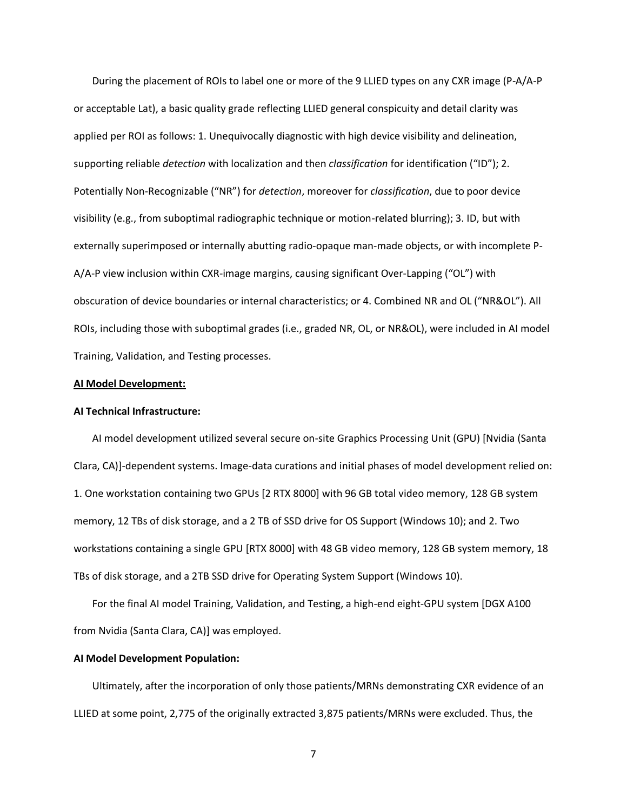During the placement of ROIs to label one or more of the 9 LLIED types on any CXR image (P-A/A-P or acceptable Lat), a basic quality grade reflecting LLIED general conspicuity and detail clarity was applied per ROI as follows: 1. Unequivocally diagnostic with high device visibility and delineation, supporting reliable *detection* with localization and then *classification* for identification ("ID"); 2. Potentially Non-Recognizable ("NR") for *detection*, moreover for *classification*, due to poor device visibility (e.g., from suboptimal radiographic technique or motion-related blurring); 3. ID, but with externally superimposed or internally abutting radio-opaque man-made objects, or with incomplete P-A/A-P view inclusion within CXR-image margins, causing significant Over-Lapping ("OL") with obscuration of device boundaries or internal characteristics; or 4. Combined NR and OL ("NR&OL"). All ROIs, including those with suboptimal grades (i.e., graded NR, OL, or NR&OL), were included in AI model Training, Validation, and Testing processes.

#### **AI Model Development:**

#### **AI Technical Infrastructure:**

AI model development utilized several secure on-site Graphics Processing Unit (GPU) [Nvidia (Santa Clara, CA)]-dependent systems. Image-data curations and initial phases of model development relied on: 1. One workstation containing two GPUs [2 RTX 8000] with 96 GB total video memory, 128 GB system memory, 12 TBs of disk storage, and a 2 TB of SSD drive for OS Support (Windows 10); and 2. Two workstations containing a single GPU [RTX 8000] with 48 GB video memory, 128 GB system memory, 18 TBs of disk storage, and a 2TB SSD drive for Operating System Support (Windows 10).

For the final AI model Training, Validation, and Testing, a high-end eight-GPU system [DGX A100 from Nvidia (Santa Clara, CA)] was employed.

## **AI Model Development Population:**

Ultimately, after the incorporation of only those patients/MRNs demonstrating CXR evidence of an LLIED at some point, 2,775 of the originally extracted 3,875 patients/MRNs were excluded. Thus, the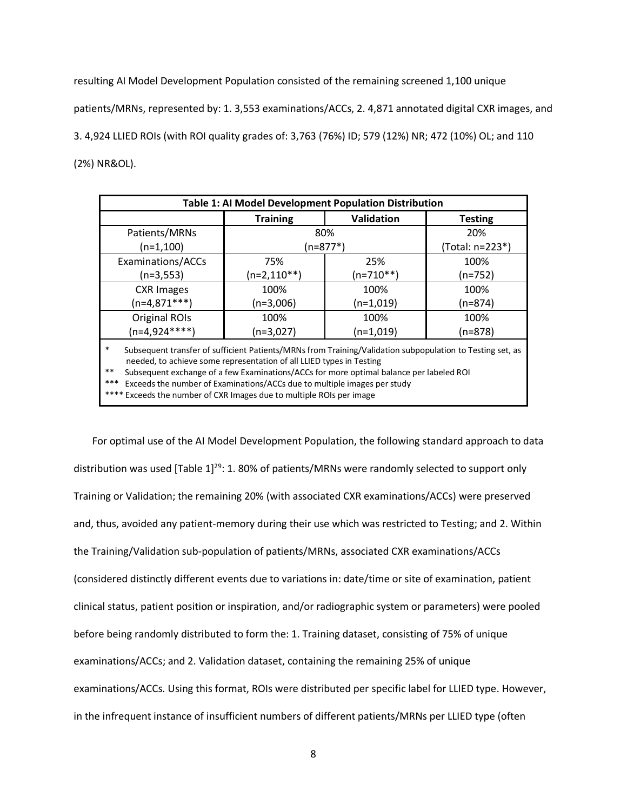resulting AI Model Development Population consisted of the remaining screened 1,100 unique patients/MRNs, represented by: 1. 3,553 examinations/ACCs, 2. 4,871 annotated digital CXR images, and 3. 4,924 LLIED ROIs (with ROI quality grades of: 3,763 (76%) ID; 579 (12%) NR; 472 (10%) OL; and 110 (2%) NR&OL).

| Table 1: AI Model Development Population Distribution                                                                                                                                                                                                                                                                                                                                                                             |                 |                   |                 |  |  |  |  |
|-----------------------------------------------------------------------------------------------------------------------------------------------------------------------------------------------------------------------------------------------------------------------------------------------------------------------------------------------------------------------------------------------------------------------------------|-----------------|-------------------|-----------------|--|--|--|--|
|                                                                                                                                                                                                                                                                                                                                                                                                                                   | <b>Training</b> | <b>Validation</b> | <b>Testing</b>  |  |  |  |  |
| Patients/MRNs                                                                                                                                                                                                                                                                                                                                                                                                                     |                 | 80%               | 20%             |  |  |  |  |
| $(n=1,100)$                                                                                                                                                                                                                                                                                                                                                                                                                       |                 | (n=877*)          | (Total: n=223*) |  |  |  |  |
| Examinations/ACCs                                                                                                                                                                                                                                                                                                                                                                                                                 | 75%             | 25%               | 100%            |  |  |  |  |
| (n=3,553)                                                                                                                                                                                                                                                                                                                                                                                                                         | $(n=2,110**)$   | $(n=710**)$       | $(n=752)$       |  |  |  |  |
| <b>CXR Images</b>                                                                                                                                                                                                                                                                                                                                                                                                                 | 100%            | 100%              | 100%            |  |  |  |  |
| $(n=4,871***)$                                                                                                                                                                                                                                                                                                                                                                                                                    | $(n=3,006)$     | $(n=1,019)$       | $(n=874)$       |  |  |  |  |
| Original ROIs                                                                                                                                                                                                                                                                                                                                                                                                                     | 100%            | 100%              | 100%            |  |  |  |  |
| $(n=4,924***)$                                                                                                                                                                                                                                                                                                                                                                                                                    | $(n=3,027)$     | $(n=1,019)$       | $(n=878)$       |  |  |  |  |
| $\ast$<br>Subsequent transfer of sufficient Patients/MRNs from Training/Validation subpopulation to Testing set, as<br>needed, to achieve some representation of all LLIED types in Testing<br>$***$<br>Subsequent exchange of a few Examinations/ACCs for more optimal balance per labeled ROI<br>$\mathbf{r}$ , and $\mathbf{r}$ , and $\mathbf{r}$ , and $\mathbf{r}$ , and $\mathbf{r}$ , and $\mathbf{r}$ , and $\mathbf{r}$ |                 |                   |                 |  |  |  |  |

\*\* Exceeds the number of Examinations/ACCs due to multiple images per study

\* Exceeds the number of CXR Images due to multiple ROIs per image

For optimal use of the AI Model Development Population, the following standard approach to data distribution was used [Table 1]<sup>29</sup>: 1. 80% of patients/MRNs were randomly selected to support only Training or Validation; the remaining 20% (with associated CXR examinations/ACCs) were preserved and, thus, avoided any patient-memory during their use which was restricted to Testing; and 2. Within the Training/Validation sub-population of patients/MRNs, associated CXR examinations/ACCs (considered distinctly different events due to variations in: date/time or site of examination, patient clinical status, patient position or inspiration, and/or radiographic system or parameters) were pooled before being randomly distributed to form the: 1. Training dataset, consisting of 75% of unique examinations/ACCs; and 2. Validation dataset, containing the remaining 25% of unique examinations/ACCs. Using this format, ROIs were distributed per specific label for LLIED type. However, in the infrequent instance of insufficient numbers of different patients/MRNs per LLIED type (often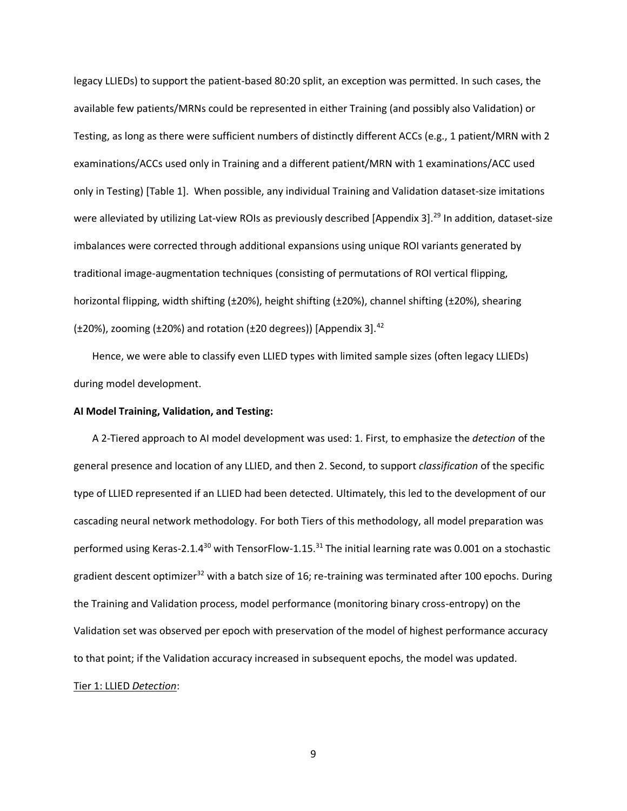legacy LLIEDs) to support the patient-based 80:20 split, an exception was permitted. In such cases, the available few patients/MRNs could be represented in either Training (and possibly also Validation) or Testing, as long as there were sufficient numbers of distinctly different ACCs (e.g., 1 patient/MRN with 2 examinations/ACCs used only in Training and a different patient/MRN with 1 examinations/ACC used only in Testing) [Table 1]. When possible, any individual Training and Validation dataset-size imitations were alleviated by utilizing Lat-view ROIs as previously described [Appendix 3].<sup>29</sup> In addition, dataset-size imbalances were corrected through additional expansions using unique ROI variants generated by traditional image-augmentation techniques (consisting of permutations of ROI vertical flipping, horizontal flipping, width shifting (±20%), height shifting (±20%), channel shifting (±20%), shearing ( $±20%$ ), zooming ( $±20%$ ) and rotation ( $±20$  degrees)) [Appendix 3].<sup>42</sup>

Hence, we were able to classify even LLIED types with limited sample sizes (often legacy LLIEDs) during model development.

## **AI Model Training, Validation, and Testing:**

A 2-Tiered approach to AI model development was used: 1. First, to emphasize the *detection* of the general presence and location of any LLIED, and then 2. Second, to support *classification* of the specific type of LLIED represented if an LLIED had been detected. Ultimately, this led to the development of our cascading neural network methodology. For both Tiers of this methodology, all model preparation was performed using Keras-2.1.4<sup>30</sup> with TensorFlow-1.15.<sup>31</sup> The initial learning rate was 0.001 on a stochastic gradient descent optimizer<sup>32</sup> with a batch size of 16; re-training was terminated after 100 epochs. During the Training and Validation process, model performance (monitoring binary cross-entropy) on the Validation set was observed per epoch with preservation of the model of highest performance accuracy to that point; if the Validation accuracy increased in subsequent epochs, the model was updated. Tier 1: LLIED *Detection*: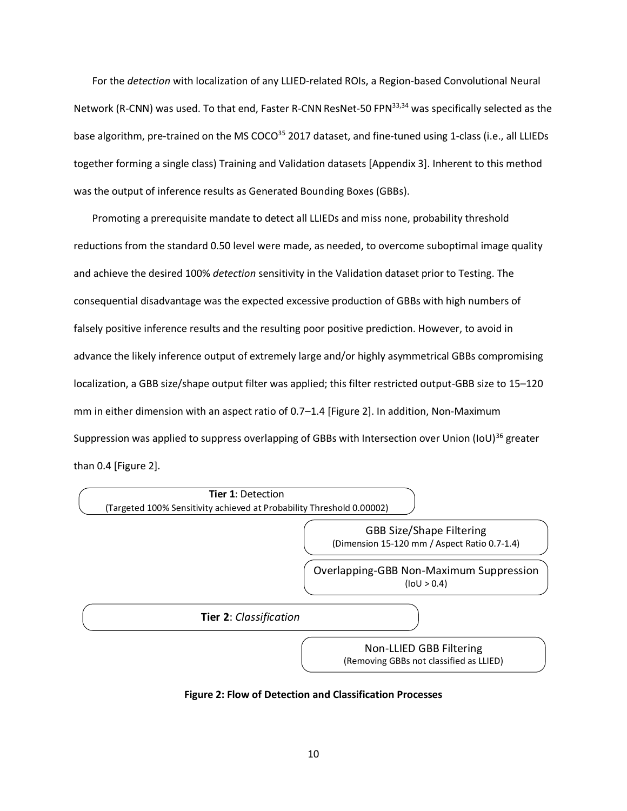For the *detection* with localization of any LLIED-related ROIs, a Region-based Convolutional Neural Network (R-CNN) was used. To that end, Faster R-CNN ResNet-50 FPN<sup>33,34</sup> was specifically selected as the base algorithm, pre-trained on the MS COCO<sup>35</sup> 2017 dataset, and fine-tuned using 1-class (i.e., all LLIEDs together forming a single class) Training and Validation datasets [Appendix 3]. Inherent to this method was the output of inference results as Generated Bounding Boxes (GBBs).

Promoting a prerequisite mandate to detect all LLIEDs and miss none, probability threshold reductions from the standard 0.50 level were made, as needed, to overcome suboptimal image quality and achieve the desired 100% *detection* sensitivity in the Validation dataset prior to Testing. The consequential disadvantage was the expected excessive production of GBBs with high numbers of falsely positive inference results and the resulting poor positive prediction. However, to avoid in advance the likely inference output of extremely large and/or highly asymmetrical GBBs compromising localization, a GBB size/shape output filter was applied; this filter restricted output-GBB size to 15–120 mm in either dimension with an aspect ratio of 0.7–1.4 [Figure 2]. In addition, Non-Maximum Suppression was applied to suppress overlapping of GBBs with Intersection over Union (IoU)<sup>36</sup> greater than 0.4 [Figure 2].



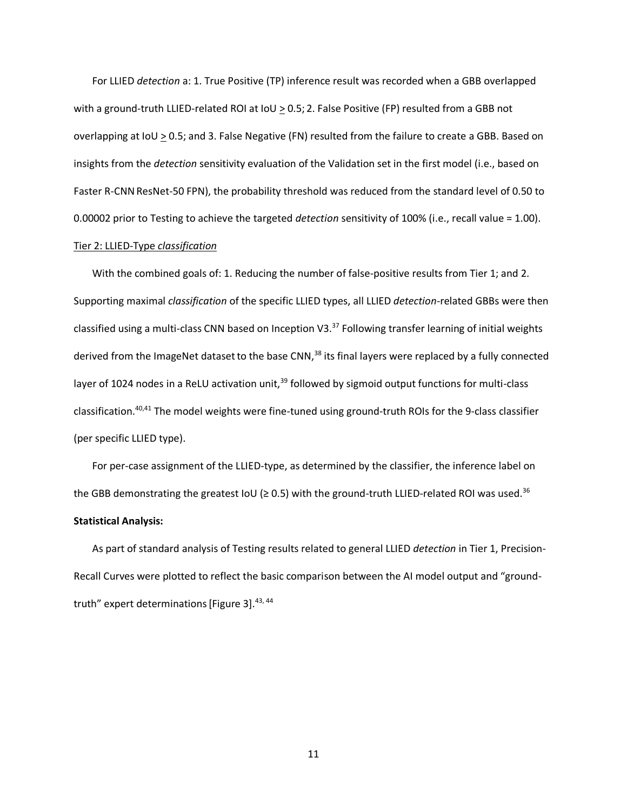For LLIED *detection* a: 1. True Positive (TP) inference result was recorded when a GBB overlapped with a ground-truth LLIED-related ROI at  $I_0 \cup I_2$  o.5; 2. False Positive (FP) resulted from a GBB not overlapping at IoU  $\geq$  0.5; and 3. False Negative (FN) resulted from the failure to create a GBB. Based on insights from the *detection* sensitivity evaluation of the Validation set in the first model (i.e., based on Faster R-CNNResNet-50 FPN), the probability threshold was reduced from the standard level of 0.50 to 0.00002 prior to Testing to achieve the targeted *detection* sensitivity of 100% (i.e., recall value = 1.00).

## Tier 2: LLIED-Type *classification*

With the combined goals of: 1. Reducing the number of false-positive results from Tier 1; and 2. Supporting maximal *classification* of the specific LLIED types, all LLIED *detection*-related GBBs were then classified using a multi-class CNN based on Inception V3.<sup>37</sup> Following transfer learning of initial weights derived from the ImageNet dataset to the base CNN,<sup>38</sup> its final layers were replaced by a fully connected layer of 1024 nodes in a ReLU activation unit,<sup>39</sup> followed by sigmoid output functions for multi-class classification.<sup>40,41</sup> The model weights were fine-tuned using ground-truth ROIs for the 9-class classifier (per specific LLIED type).

For per-case assignment of the LLIED-type, as determined by the classifier, the inference label on the GBB demonstrating the greatest IoU (≥ 0.5) with the ground-truth LLIED-related ROI was used.<sup>36</sup> **Statistical Analysis:**

As part of standard analysis of Testing results related to general LLIED *detection* in Tier 1, Precision-Recall Curves were plotted to reflect the basic comparison between the AI model output and "groundtruth" expert determinations [Figure 3].<sup>43, 44</sup>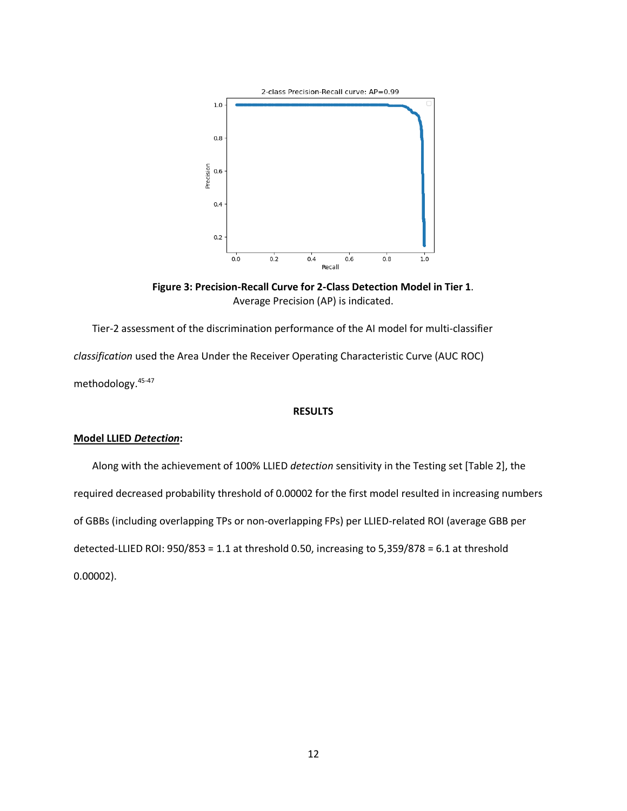

**Figure 3: Precision-Recall Curve for 2-Class Detection Model in Tier 1**. Average Precision (AP) is indicated.

Tier-2 assessment of the discrimination performance of the AI model for multi-classifier *classification* used the Area Under the Receiver Operating Characteristic Curve (AUC ROC) methodology. 45-47

## **RESULTS**

# **Model LLIED** *Detection***:**

Along with the achievement of 100% LLIED *detection* sensitivity in the Testing set [Table 2], the required decreased probability threshold of 0.00002 for the first model resulted in increasing numbers of GBBs (including overlapping TPs or non-overlapping FPs) per LLIED-related ROI (average GBB per detected-LLIED ROI: 950/853 = 1.1 at threshold 0.50, increasing to 5,359/878 = 6.1 at threshold 0.00002).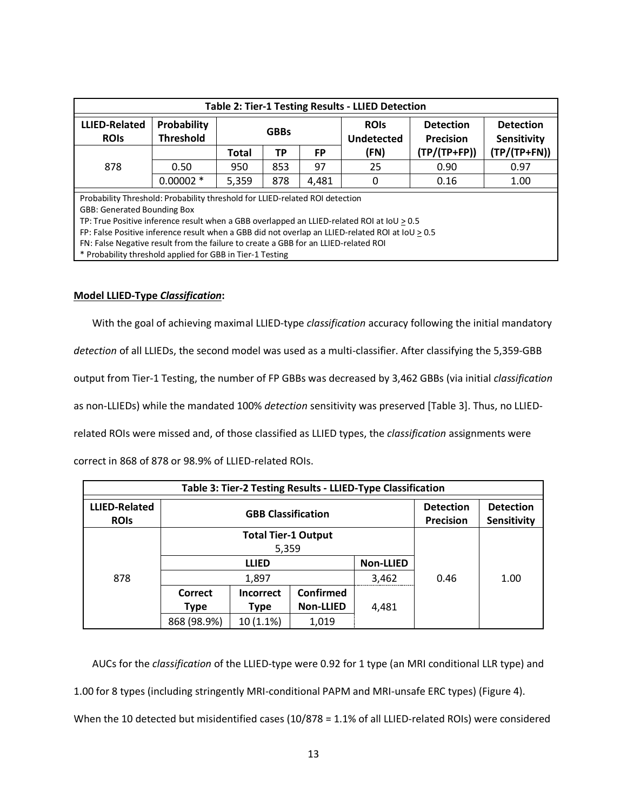| Table 2: Tier-1 Testing Results - LLIED Detection                                                    |                                 |             |     |       |      |                           |                |                                      |                                 |
|------------------------------------------------------------------------------------------------------|---------------------------------|-------------|-----|-------|------|---------------------------|----------------|--------------------------------------|---------------------------------|
| <b>LLIED-Related</b><br><b>ROIS</b>                                                                  | Probability<br><b>Threshold</b> | <b>GBBs</b> |     |       |      | <b>ROIS</b><br>Undetected |                | <b>Detection</b><br><b>Precision</b> | <b>Detection</b><br>Sensitivity |
|                                                                                                      |                                 | Total       | ТP  | FP    | (FN) | $(TP/(TP+FP))$            | $(TP/(TP+FN))$ |                                      |                                 |
| 878                                                                                                  | 0.50                            | 950         | 853 | 97    | 25   | 0.90                      | 0.97           |                                      |                                 |
|                                                                                                      | $0.00002$ *                     | 5,359       | 878 | 4,481 | 0    | 0.16                      | 1.00           |                                      |                                 |
| Probability Threshold: Probability threshold for LLIED-related ROI detection                         |                                 |             |     |       |      |                           |                |                                      |                                 |
| <b>GBB: Generated Bounding Box</b>                                                                   |                                 |             |     |       |      |                           |                |                                      |                                 |
| TP: True Positive inference result when a GBB overlapped an LLIED-related ROI at IoU > 0.5           |                                 |             |     |       |      |                           |                |                                      |                                 |
| FP: False Positive inference result when a GBB did not overlap an LLIED-related ROI at $IoU \ge 0.5$ |                                 |             |     |       |      |                           |                |                                      |                                 |
| FN: False Negative result from the failure to create a GBB for an LLIED-related ROI                  |                                 |             |     |       |      |                           |                |                                      |                                 |
| * Probability threshold applied for GBB in Tier-1 Testing                                            |                                 |             |     |       |      |                           |                |                                      |                                 |

## **Model LLIED-Type** *Classification***:**

With the goal of achieving maximal LLIED-type *classification* accuracy following the initial mandatory

*detection* of all LLIEDs, the second model was used as a multi-classifier. After classifying the 5,359-GBB

output from Tier-1 Testing, the number of FP GBBs was decreased by 3,462 GBBs (via initial *classification*

as non-LLIEDs) while the mandated 100% *detection* sensitivity was preserved [Table 3]. Thus, no LLIED-

related ROIs were missed and, of those classified as LLIED types, the *classification* assignments were

correct in 868 of 878 or 98.9% of LLIED-related ROIs.

| Table 3: Tier-2 Testing Results - LLIED-Type Classification |                                     |                           |                                      |                                        |      |      |  |
|-------------------------------------------------------------|-------------------------------------|---------------------------|--------------------------------------|----------------------------------------|------|------|--|
| <b>LLIED-Related</b><br><b>ROIS</b>                         |                                     | <b>GBB Classification</b> | <b>Detection</b><br><b>Precision</b> | <b>Detection</b><br><b>Sensitivity</b> |      |      |  |
| 878                                                         | <b>Total Tier-1 Output</b><br>5,359 |                           |                                      |                                        |      |      |  |
|                                                             | <b>Non-LLIED</b><br><b>LLIED</b>    |                           |                                      |                                        |      |      |  |
|                                                             |                                     | 1,897                     |                                      | 3,462                                  | 0.46 | 1.00 |  |
|                                                             | Correct                             | <b>Incorrect</b>          | <b>Confirmed</b>                     |                                        |      |      |  |
|                                                             | Type                                | Type                      | <b>Non-LLIED</b>                     | 4,481                                  |      |      |  |
|                                                             | 868 (98.9%)                         | $10(1.1\%)$               | 1,019                                |                                        |      |      |  |

AUCs for the *classification* of the LLIED-type were 0.92 for 1 type (an MRI conditional LLR type) and 1.00 for 8 types (including stringently MRI-conditional PAPM and MRI-unsafe ERC types) (Figure 4). When the 10 detected but misidentified cases (10/878 = 1.1% of all LLIED-related ROIs) were considered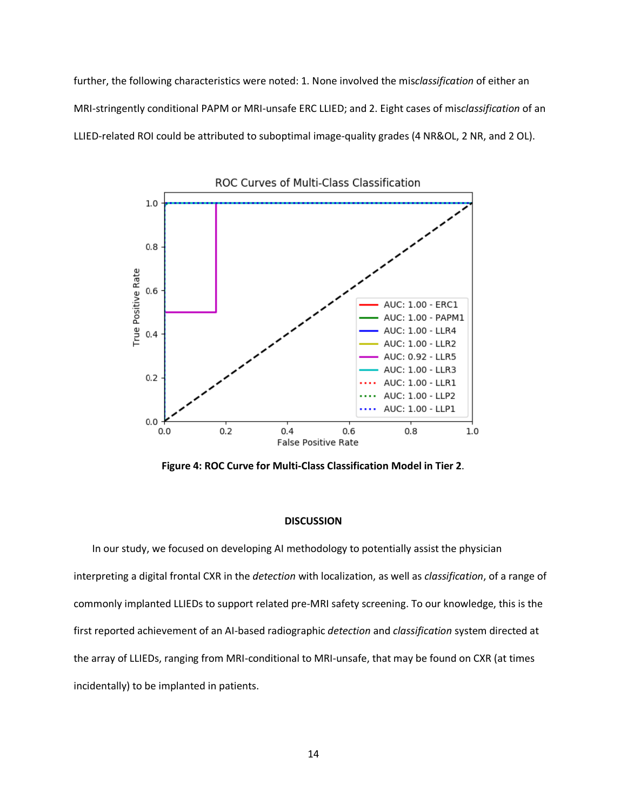further, the following characteristics were noted: 1. None involved the mis*classification* of either an MRI-stringently conditional PAPM or MRI-unsafe ERC LLIED; and 2. Eight cases of mis*classification* of an LLIED-related ROI could be attributed to suboptimal image-quality grades (4 NR&OL, 2 NR, and 2 OL).



**Figure 4: ROC Curve for Multi-Class Classification Model in Tier 2**.

#### **DISCUSSION**

In our study, we focused on developing AI methodology to potentially assist the physician interpreting a digital frontal CXR in the *detection* with localization, as well as *classification*, of a range of commonly implanted LLIEDs to support related pre-MRI safety screening. To our knowledge, this is the first reported achievement of an AI-based radiographic *detection* and *classification* system directed at the array of LLIEDs, ranging from MRI-conditional to MRI-unsafe, that may be found on CXR (at times incidentally) to be implanted in patients.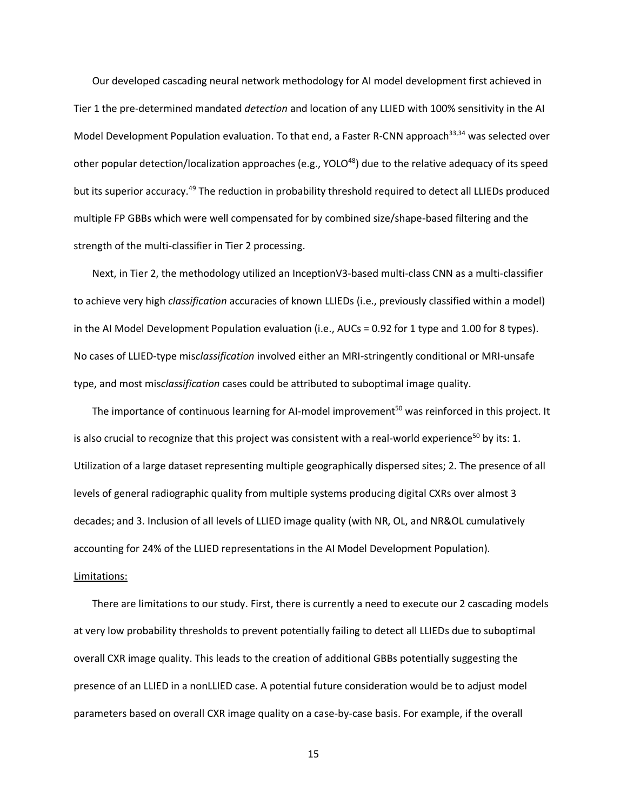Our developed cascading neural network methodology for AI model development first achieved in Tier 1 the pre-determined mandated *detection* and location of any LLIED with 100% sensitivity in the AI Model Development Population evaluation. To that end, a Faster R-CNN approach<sup>33,34</sup> was selected over other popular detection/localization approaches (e.g., YOLO<sup>48</sup>) due to the relative adequacy of its speed but its superior accuracy.<sup>49</sup> The reduction in probability threshold required to detect all LLIEDs produced multiple FP GBBs which were well compensated for by combined size/shape-based filtering and the strength of the multi-classifier in Tier 2 processing.

Next, in Tier 2, the methodology utilized an InceptionV3-based multi-class CNN as a multi-classifier to achieve very high *classification* accuracies of known LLIEDs (i.e., previously classified within a model) in the AI Model Development Population evaluation (i.e., AUCs = 0.92 for 1 type and 1.00 for 8 types). No cases of LLIED-type mis*classification* involved either an MRI-stringently conditional or MRI-unsafe type, and most mis*classification* cases could be attributed to suboptimal image quality.

The importance of continuous learning for AI-model improvement<sup>50</sup> was reinforced in this project. It is also crucial to recognize that this project was consistent with a real-world experience<sup>50</sup> by its: 1. Utilization of a large dataset representing multiple geographically dispersed sites; 2. The presence of all levels of general radiographic quality from multiple systems producing digital CXRs over almost 3 decades; and 3. Inclusion of all levels of LLIED image quality (with NR, OL, and NR&OL cumulatively accounting for 24% of the LLIED representations in the AI Model Development Population). Limitations:

There are limitations to our study. First, there is currently a need to execute our 2 cascading models at very low probability thresholds to prevent potentially failing to detect all LLIEDs due to suboptimal overall CXR image quality. This leads to the creation of additional GBBs potentially suggesting the presence of an LLIED in a nonLLIED case. A potential future consideration would be to adjust model parameters based on overall CXR image quality on a case-by-case basis. For example, if the overall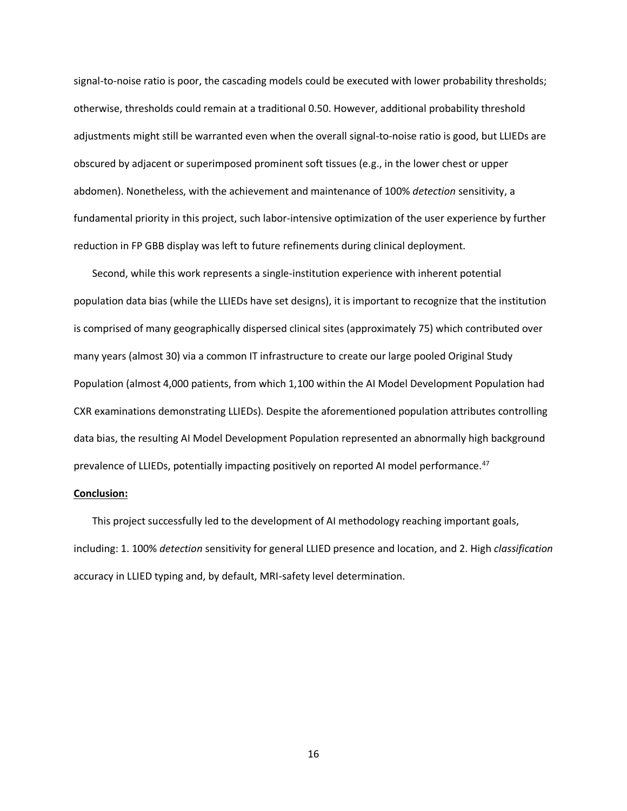signal-to-noise ratio is poor, the cascading models could be executed with lower probability thresholds; otherwise, thresholds could remain at a traditional 0.50. However, additional probability threshold adjustments might still be warranted even when the overall signal-to-noise ratio is good, but LLIEDs are obscured by adjacent or superimposed prominent soft tissues (e.g., in the lower chest or upper abdomen). Nonetheless, with the achievement and maintenance of 100% *detection* sensitivity, a fundamental priority in this project, such labor-intensive optimization of the user experience by further reduction in FP GBB display was left to future refinements during clinical deployment.

Second, while this work represents a single-institution experience with inherent potential population data bias (while the LLIEDs have set designs), it is important to recognize that the institution is comprised of many geographically dispersed clinical sites (approximately 75) which contributed over many years (almost 30) via a common IT infrastructure to create our large pooled Original Study Population (almost 4,000 patients, from which 1,100 within the AI Model Development Population had CXR examinations demonstrating LLIEDs). Despite the aforementioned population attributes controlling data bias, the resulting AI Model Development Population represented an abnormally high background prevalence of LLIEDs, potentially impacting positively on reported AI model performance.<sup>47</sup>

#### **Conclusion:**

This project successfully led to the development of AI methodology reaching important goals, including: 1. 100% *detection* sensitivity for general LLIED presence and location, and 2. High *classification* accuracy in LLIED typing and, by default, MRI-safety level determination.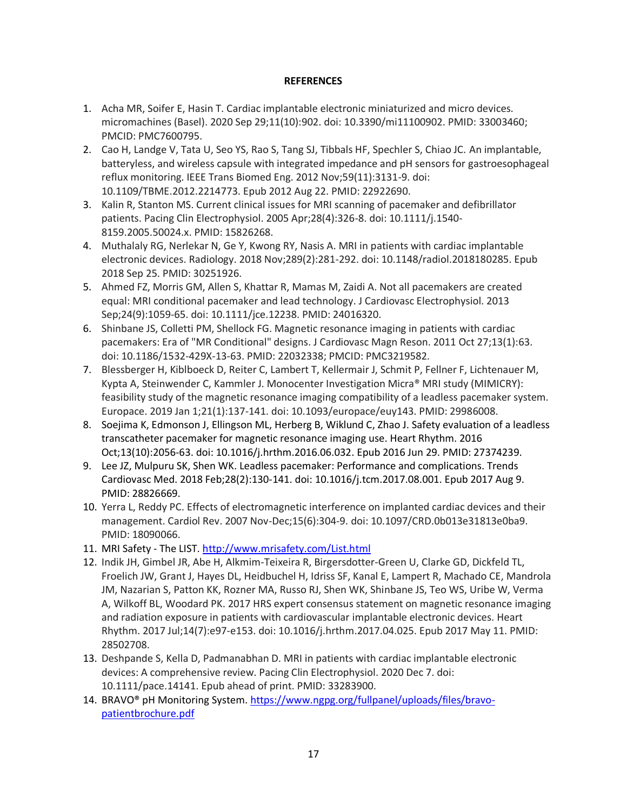# **REFERENCES**

- 1. Acha MR, Soifer E, Hasin T. Cardiac implantable electronic miniaturized and micro devices. micromachines (Basel). 2020 Sep 29;11(10):902. doi: 10.3390/mi11100902. PMID: 33003460; PMCID: PMC7600795.
- 2. Cao H, Landge V, Tata U, Seo YS, Rao S, Tang SJ, Tibbals HF, Spechler S, Chiao JC. An implantable, batteryless, and wireless capsule with integrated impedance and pH sensors for gastroesophageal reflux monitoring. IEEE Trans Biomed Eng. 2012 Nov;59(11):3131-9. doi: 10.1109/TBME.2012.2214773. Epub 2012 Aug 22. PMID: 22922690.
- 3. Kalin R, Stanton MS. Current clinical issues for MRI scanning of pacemaker and defibrillator patients. Pacing Clin Electrophysiol. 2005 Apr;28(4):326-8. doi: 10.1111/j.1540- 8159.2005.50024.x. PMID: 15826268.
- 4. Muthalaly RG, Nerlekar N, Ge Y, Kwong RY, Nasis A. MRI in patients with cardiac implantable electronic devices. Radiology. 2018 Nov;289(2):281-292. doi: 10.1148/radiol.2018180285. Epub 2018 Sep 25. PMID: 30251926.
- 5. Ahmed FZ, Morris GM, Allen S, Khattar R, Mamas M, Zaidi A. Not all pacemakers are created equal: MRI conditional pacemaker and lead technology. J Cardiovasc Electrophysiol. 2013 Sep;24(9):1059-65. doi: 10.1111/jce.12238. PMID: 24016320.
- 6. Shinbane JS, Colletti PM, Shellock FG. Magnetic resonance imaging in patients with cardiac pacemakers: Era of "MR Conditional" designs. J Cardiovasc Magn Reson. 2011 Oct 27;13(1):63. doi: 10.1186/1532-429X-13-63. PMID: 22032338; PMCID: PMC3219582.
- 7. Blessberger H, Kiblboeck D, Reiter C, Lambert T, Kellermair J, Schmit P, Fellner F, Lichtenauer M, Kypta A, Steinwender C, Kammler J. Monocenter Investigation Micra® MRI study (MIMICRY): feasibility study of the magnetic resonance imaging compatibility of a leadless pacemaker system. Europace. 2019 Jan 1;21(1):137-141. doi: 10.1093/europace/euy143. PMID: 29986008.
- 8. Soejima K, Edmonson J, Ellingson ML, Herberg B, Wiklund C, Zhao J. Safety evaluation of a leadless transcatheter pacemaker for magnetic resonance imaging use. Heart Rhythm. 2016 Oct;13(10):2056-63. doi: 10.1016/j.hrthm.2016.06.032. Epub 2016 Jun 29. PMID: 27374239.
- 9. Lee JZ, Mulpuru SK, Shen WK. Leadless pacemaker: Performance and complications. Trends Cardiovasc Med. 2018 Feb;28(2):130-141. doi: 10.1016/j.tcm.2017.08.001. Epub 2017 Aug 9. PMID: 28826669.
- 10. Yerra L, Reddy PC. Effects of electromagnetic interference on implanted cardiac devices and their management. Cardiol Rev. 2007 Nov-Dec;15(6):304-9. doi: 10.1097/CRD.0b013e31813e0ba9. PMID: 18090066.
- 11. MRI Safety The LIST.<http://www.mrisafety.com/List.html>
- 12. Indik JH, Gimbel JR, Abe H, Alkmim-Teixeira R, Birgersdotter-Green U, Clarke GD, Dickfeld TL, Froelich JW, Grant J, Hayes DL, Heidbuchel H, Idriss SF, Kanal E, Lampert R, Machado CE, Mandrola JM, Nazarian S, Patton KK, Rozner MA, Russo RJ, Shen WK, Shinbane JS, Teo WS, Uribe W, Verma A, Wilkoff BL, Woodard PK. 2017 HRS expert consensus statement on magnetic resonance imaging and radiation exposure in patients with cardiovascular implantable electronic devices. Heart Rhythm. 2017 Jul;14(7):e97-e153. doi: 10.1016/j.hrthm.2017.04.025. Epub 2017 May 11. PMID: 28502708.
- 13. Deshpande S, Kella D, Padmanabhan D. MRI in patients with cardiac implantable electronic devices: A comprehensive review. Pacing Clin Electrophysiol. 2020 Dec 7. doi: 10.1111/pace.14141. Epub ahead of print. PMID: 33283900.
- 14. BRAVO® pH Monitoring System[. https://www.ngpg.org/fullpanel/uploads/files/bravo](https://www.ngpg.org/fullpanel/uploads/files/bravo-patientbrochure.pdf)[patientbrochure.pdf](https://www.ngpg.org/fullpanel/uploads/files/bravo-patientbrochure.pdf)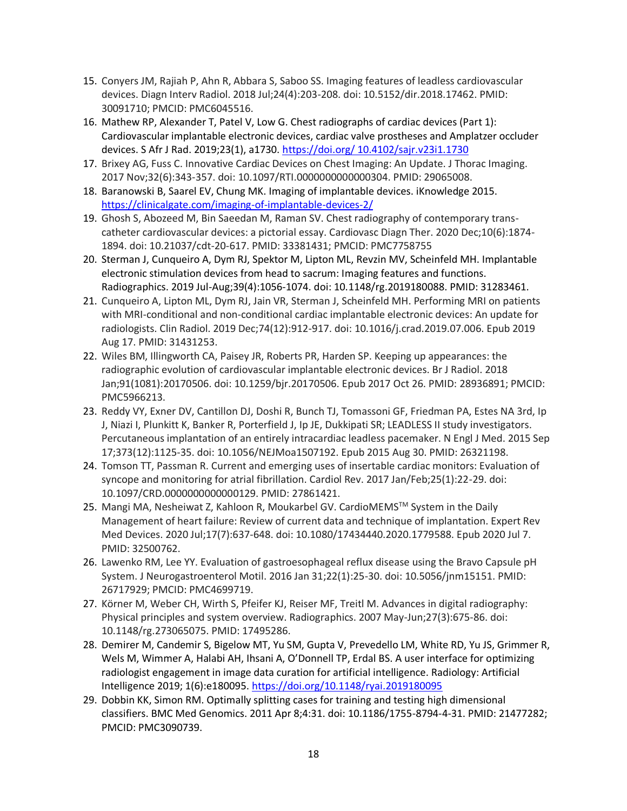- 15. Conyers JM, Rajiah P, Ahn R, Abbara S, Saboo SS. Imaging features of leadless cardiovascular devices. Diagn Interv Radiol. 2018 Jul;24(4):203-208. doi: 10.5152/dir.2018.17462. PMID: 30091710; PMCID: PMC6045516.
- 16. Mathew RP, Alexander T, Patel V, Low G. Chest radiographs of cardiac devices (Part 1): Cardiovascular implantable electronic devices, cardiac valve prostheses and Amplatzer occluder devices. S Afr J Rad. 2019;23(1), a1730. [https://doi.org/ 10.4102/sajr.v23i1.1730](https://doi.org/%2010.4102/sajr.v23i1.1730)
- 17. Brixey AG, Fuss C. Innovative Cardiac Devices on Chest Imaging: An Update. J Thorac Imaging. 2017 Nov;32(6):343-357. doi: 10.1097/RTI.0000000000000304. PMID: 29065008.
- 18. Baranowski B, Saarel EV, Chung MK. Imaging of implantable devices. iKnowledge 2015. <https://clinicalgate.com/imaging-of-implantable-devices-2/>
- 19. Ghosh S, Abozeed M, Bin Saeedan M, Raman SV. Chest radiography of contemporary transcatheter cardiovascular devices: a pictorial essay. Cardiovasc Diagn Ther. 2020 Dec;10(6):1874- 1894. doi: 10.21037/cdt-20-617. PMID: 33381431; PMCID: PMC7758755
- 20. Sterman J, Cunqueiro A, Dym RJ, Spektor M, Lipton ML, Revzin MV, Scheinfeld MH. Implantable electronic stimulation devices from head to sacrum: Imaging features and functions. Radiographics. 2019 Jul-Aug;39(4):1056-1074. doi: 10.1148/rg.2019180088. PMID: 31283461.
- 21. Cunqueiro A, Lipton ML, Dym RJ, Jain VR, Sterman J, Scheinfeld MH. Performing MRI on patients with MRI-conditional and non-conditional cardiac implantable electronic devices: An update for radiologists. Clin Radiol. 2019 Dec;74(12):912-917. doi: 10.1016/j.crad.2019.07.006. Epub 2019 Aug 17. PMID: 31431253.
- 22. Wiles BM, Illingworth CA, Paisey JR, Roberts PR, Harden SP. Keeping up appearances: the radiographic evolution of cardiovascular implantable electronic devices. Br J Radiol. 2018 Jan;91(1081):20170506. doi: 10.1259/bjr.20170506. Epub 2017 Oct 26. PMID: 28936891; PMCID: PMC5966213.
- 23. Reddy VY, Exner DV, Cantillon DJ, Doshi R, Bunch TJ, Tomassoni GF, Friedman PA, Estes NA 3rd, Ip J, Niazi I, Plunkitt K, Banker R, Porterfield J, Ip JE, Dukkipati SR; LEADLESS II study investigators. Percutaneous implantation of an entirely intracardiac leadless pacemaker. N Engl J Med. 2015 Sep 17;373(12):1125-35. doi: 10.1056/NEJMoa1507192. Epub 2015 Aug 30. PMID: 26321198.
- 24. Tomson TT, Passman R. Current and emerging uses of insertable cardiac monitors: Evaluation of syncope and monitoring for atrial fibrillation. Cardiol Rev. 2017 Jan/Feb;25(1):22-29. doi: 10.1097/CRD.0000000000000129. PMID: 27861421.
- 25. Mangi MA, Nesheiwat Z, Kahloon R, Moukarbel GV. CardioMEMS™ System in the Daily Management of heart failure: Review of current data and technique of implantation. Expert Rev Med Devices. 2020 Jul;17(7):637-648. doi: 10.1080/17434440.2020.1779588. Epub 2020 Jul 7. PMID: 32500762.
- 26. Lawenko RM, Lee YY. Evaluation of gastroesophageal reflux disease using the Bravo Capsule pH System. J Neurogastroenterol Motil. 2016 Jan 31;22(1):25-30. doi: 10.5056/jnm15151. PMID: 26717929; PMCID: PMC4699719.
- 27. Körner M, Weber CH, Wirth S, Pfeifer KJ, Reiser MF, Treitl M. Advances in digital radiography: Physical principles and system overview. Radiographics. 2007 May-Jun;27(3):675-86. doi: 10.1148/rg.273065075. PMID: 17495286.
- 28. Demirer M, Candemir S, Bigelow MT, Yu SM, Gupta V, Prevedello LM, White RD, Yu JS, Grimmer R, Wels M, Wimmer A, Halabi AH, Ihsani A, O'Donnell TP, Erdal BS. A user interface for optimizing radiologist engagement in image data curation for artificial intelligence. Radiology: Artificial Intelligence 2019; 1(6):e180095.<https://doi.org/10.1148/ryai.2019180095>
- 29. Dobbin KK, Simon RM. Optimally splitting cases for training and testing high dimensional classifiers. BMC Med Genomics. 2011 Apr 8;4:31. doi: 10.1186/1755-8794-4-31. PMID: 21477282; PMCID: PMC3090739.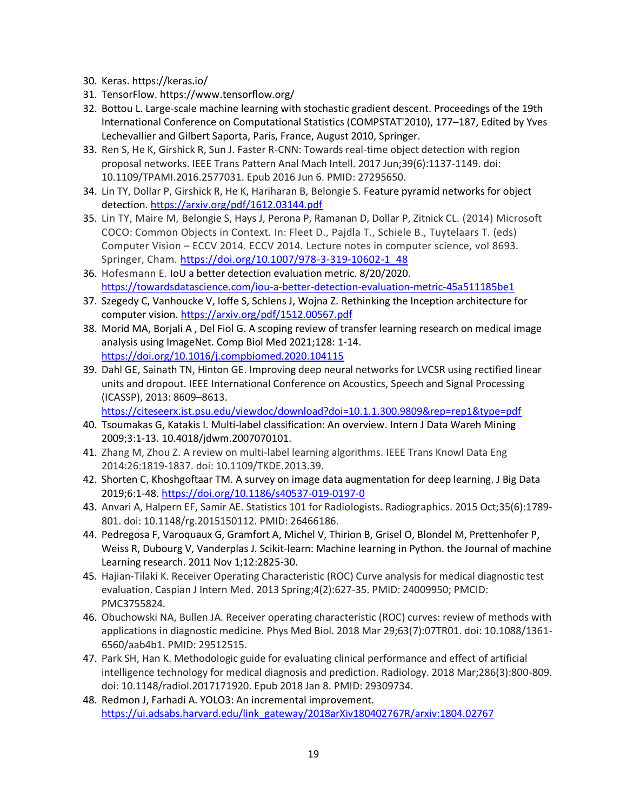- 30. Keras. https://keras.io/
- 31. TensorFlow. https://www.tensorflow.org/
- 32. Bottou L. Large-scale machine learning with stochastic gradient descent. Proceedings of the 19th International Conference on Computational Statistics (COMPSTAT'2010), 177–187, Edited by Yves Lechevallier and Gilbert Saporta, Paris, France, August 2010, Springer.
- 33. Ren S, He K, Girshick R, Sun J. Faster R-CNN: Towards real-time object detection with region proposal networks. IEEE Trans Pattern Anal Mach Intell. 2017 Jun;39(6):1137-1149. doi: 10.1109/TPAMI.2016.2577031. Epub 2016 Jun 6. PMID: 27295650.
- 34. Lin TY, Dollar P, Girshick R, He K, Hariharan B, Belongie S. Feature pyramid networks for object detection.<https://arxiv.org/pdf/1612.03144.pdf>
- 35. Lin TY, Maire M, Belongie S, Hays J, Perona P, Ramanan D, Dollar P, Zitnick CL. (2014) Microsoft COCO: Common Objects in Context. In: Fleet D., Pajdla T., Schiele B., Tuytelaars T. (eds) Computer Vision – ECCV 2014. ECCV 2014. Lecture notes in computer science, vol 8693. Springer, Cham. [https://doi.org/10.1007/978-3-319-10602-1\\_48](https://doi.org/10.1007/978-3-319-10602-1_48)
- 36. Hofesmann E. IoU a better detection evaluation metric. 8/20/2020. <https://towardsdatascience.com/iou-a-better-detection-evaluation-metric-45a511185be1>
- 37. Szegedy C, Vanhoucke V, Ioffe S, Schlens J, Wojna Z. Rethinking the Inception architecture for computer vision. <https://arxiv.org/pdf/1512.00567.pdf>
- 38. Morid MA, Borjali A , Del Fiol G. A scoping review of transfer learning research on medical image analysis using ImageNet. Comp Biol Med 2021;128: 1-14. <https://doi.org/10.1016/j.compbiomed.2020.104115>
- 39. Dahl GE, Sainath TN, Hinton GE. Improving deep neural networks for LVCSR using rectified linear units and dropout. IEEE International Conference on Acoustics, Speech and Signal Processing (ICASSP), 2013: 8609–8613.

<https://citeseerx.ist.psu.edu/viewdoc/download?doi=10.1.1.300.9809&rep=rep1&type=pdf>

- 40. Tsoumakas G, Katakis I. Multi-label classification: An overview. Intern J Data Wareh Mining 2009;3:1-13. 10.4018/jdwm.2007070101.
- 41. Zhang M, Zhou Z. A review on multi-label learning algorithms. IEEE Trans Knowl Data Eng 2014:26:1819-1837. doi: 10.1109/TKDE.2013.39.
- 42. Shorten C, Khoshgoftaar TM. A survey on image data augmentation for deep learning. J Big Data 2019;6:1-48.<https://doi.org/10.1186/s40537-019-0197-0>
- 43. Anvari A, Halpern EF, Samir AE. Statistics 101 for Radiologists. Radiographics. 2015 Oct;35(6):1789- 801. doi: 10.1148/rg.2015150112. PMID: 26466186.
- 44. Pedregosa F, Varoquaux G, Gramfort A, Michel V, Thirion B, Grisel O, Blondel M, Prettenhofer P, Weiss R, Dubourg V, Vanderplas J. Scikit-learn: Machine learning in Python. the Journal of machine Learning research. 2011 Nov 1;12:2825-30.
- 45. Hajian-Tilaki K. Receiver Operating Characteristic (ROC) Curve analysis for medical diagnostic test evaluation. Caspian J Intern Med. 2013 Spring;4(2):627-35. PMID: 24009950; PMCID: PMC3755824.
- 46. Obuchowski NA, Bullen JA. Receiver operating characteristic (ROC) curves: review of methods with applications in diagnostic medicine. Phys Med Biol. 2018 Mar 29;63(7):07TR01. doi: 10.1088/1361- 6560/aab4b1. PMID: 29512515.
- 47. Park SH, Han K. Methodologic guide for evaluating clinical performance and effect of artificial intelligence technology for medical diagnosis and prediction. Radiology. 2018 Mar;286(3):800-809. doi: 10.1148/radiol.2017171920. Epub 2018 Jan 8. PMID: 29309734.
- 48. Redmon J, Farhadi A. YOLO3: An incremental improvement. [https://ui.adsabs.harvard.edu/link\\_gateway/2018arXiv180402767R/arxiv:1804.02767](https://ui.adsabs.harvard.edu/link_gateway/2018arXiv180402767R/arxiv:1804.02767)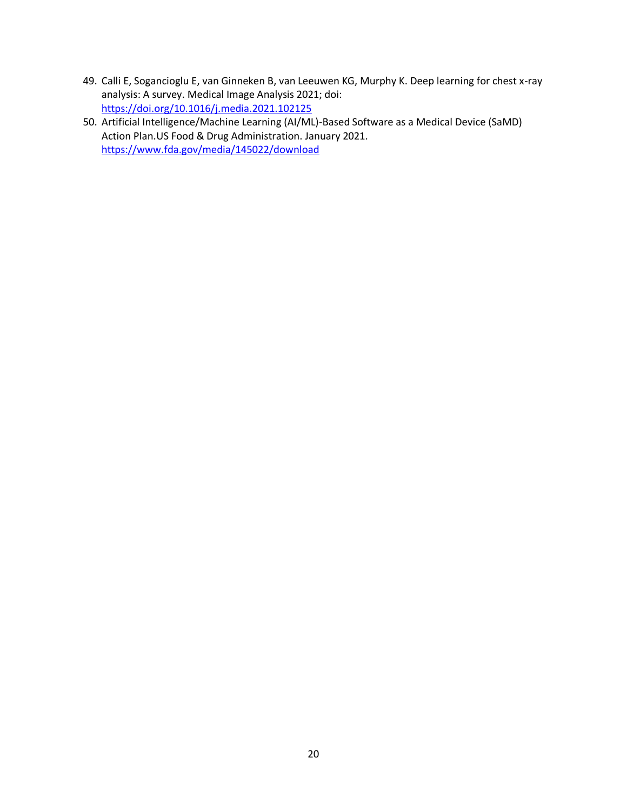- 49. Calli E, Sogancioglu E, van Ginneken B, van Leeuwen KG, Murphy K. Deep learning for chest x-ray analysis: A survey. Medical Image Analysis 2021; doi: <https://doi.org/10.1016/j.media.2021.102125>
- 50. Artificial Intelligence/Machine Learning (AI/ML)-Based Software as a Medical Device (SaMD) Action Plan.US Food & Drug Administration. January 2021. <https://www.fda.gov/media/145022/download>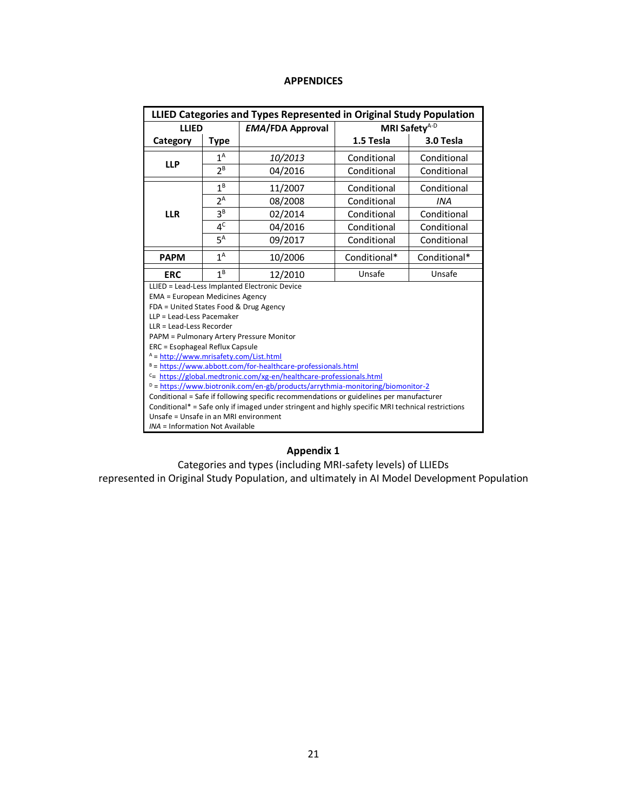# **APPENDICES**

| LLIED Categories and Types Represented in Original Study Population                                                              |                                               |                         |              |                           |  |  |  |  |
|----------------------------------------------------------------------------------------------------------------------------------|-----------------------------------------------|-------------------------|--------------|---------------------------|--|--|--|--|
| <b>LLIED</b>                                                                                                                     |                                               | <b>EMA/FDA Approval</b> |              | MRI Safety <sup>A-D</sup> |  |  |  |  |
| Category<br>Type                                                                                                                 |                                               |                         | 1.5 Tesla    | 3.0 Tesla                 |  |  |  |  |
| <b>LLP</b>                                                                                                                       | $1^A$                                         | 10/2013                 | Conditional  | Conditional               |  |  |  |  |
|                                                                                                                                  | $2^B$                                         | 04/2016                 | Conditional  | Conditional               |  |  |  |  |
|                                                                                                                                  | $1^B$                                         | 11/2007                 | Conditional  | Conditional               |  |  |  |  |
|                                                                                                                                  | $2^A$                                         | 08/2008                 | Conditional  | <b>INA</b>                |  |  |  |  |
| <b>LLR</b>                                                                                                                       | $3^B$                                         | 02/2014                 | Conditional  | Conditional               |  |  |  |  |
|                                                                                                                                  | 4 <sup>C</sup>                                | 04/2016                 | Conditional  | Conditional               |  |  |  |  |
|                                                                                                                                  | $5^A$                                         | 09/2017                 | Conditional  | Conditional               |  |  |  |  |
| <b>PAPM</b>                                                                                                                      | 1 <sup>A</sup>                                | 10/2006                 | Conditional* | Conditional*              |  |  |  |  |
| 1 <sup>B</sup><br>Unsafe<br>Unsafe<br><b>ERC</b><br>12/2010                                                                      |                                               |                         |              |                           |  |  |  |  |
|                                                                                                                                  | LLIED = Lead-Less Implanted Electronic Device |                         |              |                           |  |  |  |  |
| <b>EMA = European Medicines Agency</b>                                                                                           |                                               |                         |              |                           |  |  |  |  |
| FDA = United States Food & Drug Agency                                                                                           |                                               |                         |              |                           |  |  |  |  |
| LLP = Lead-Less Pacemaker<br>LLR = Lead-Less Recorder                                                                            |                                               |                         |              |                           |  |  |  |  |
|                                                                                                                                  |                                               |                         |              |                           |  |  |  |  |
| PAPM = Pulmonary Artery Pressure Monitor<br>ERC = Esophageal Reflux Capsule                                                      |                                               |                         |              |                           |  |  |  |  |
|                                                                                                                                  |                                               |                         |              |                           |  |  |  |  |
| $A = \frac{http://www.mrisafety.com/List.html}{$<br>$B = \frac{h}{k}$ = https://www.abbott.com/for-healthcare-professionals.html |                                               |                         |              |                           |  |  |  |  |
| $c$ = https://global.medtronic.com/xg-en/healthcare-professionals.html                                                           |                                               |                         |              |                           |  |  |  |  |
| $D = \frac{h}{h}$ https://www.biotronik.com/en-gb/products/arrythmia-monitoring/biomonitor-2                                     |                                               |                         |              |                           |  |  |  |  |
| Conditional = Safe if following specific recommendations or guidelines per manufacturer                                          |                                               |                         |              |                           |  |  |  |  |
| Conditional* = Safe only if imaged under stringent and highly specific MRI technical restrictions                                |                                               |                         |              |                           |  |  |  |  |
| Unsafe = Unsafe in an MRI environment                                                                                            |                                               |                         |              |                           |  |  |  |  |
| INA = Information Not Available                                                                                                  |                                               |                         |              |                           |  |  |  |  |

# **Appendix 1**

Categories and types (including MRI-safety levels) of LLIEDs

represented in Original Study Population, and ultimately in AI Model Development Population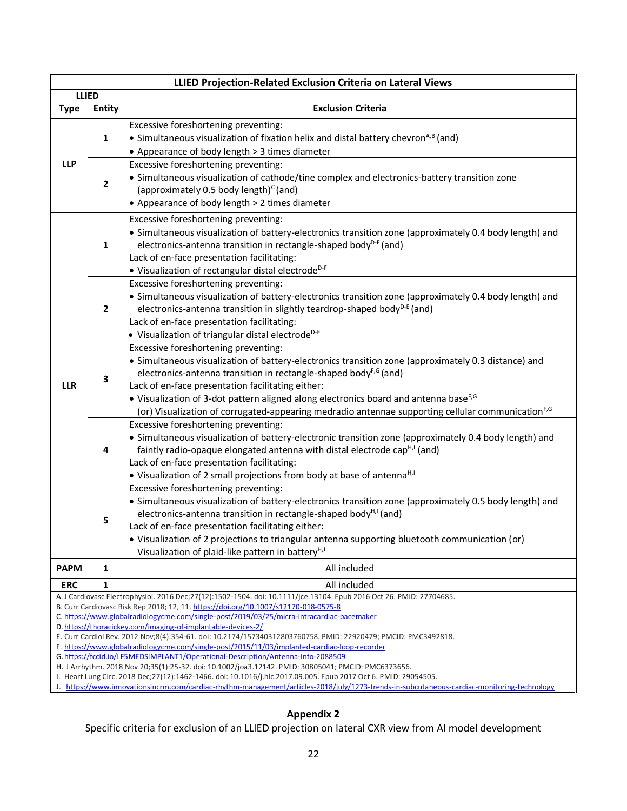|                                                                                                                                                           |                                                                                                                 | LLIED Projection-Related Exclusion Criteria on Lateral Views                                                                                                                            |  |  |  |  |  |  |
|-----------------------------------------------------------------------------------------------------------------------------------------------------------|-----------------------------------------------------------------------------------------------------------------|-----------------------------------------------------------------------------------------------------------------------------------------------------------------------------------------|--|--|--|--|--|--|
| <b>Type</b>                                                                                                                                               | <b>LLIED</b><br><b>Entity</b>                                                                                   | <b>Exclusion Criteria</b>                                                                                                                                                               |  |  |  |  |  |  |
|                                                                                                                                                           |                                                                                                                 |                                                                                                                                                                                         |  |  |  |  |  |  |
|                                                                                                                                                           |                                                                                                                 | Excessive foreshortening preventing:                                                                                                                                                    |  |  |  |  |  |  |
|                                                                                                                                                           | 1                                                                                                               | • Simultaneous visualization of fixation helix and distal battery chevron <sup>A,B</sup> (and)                                                                                          |  |  |  |  |  |  |
|                                                                                                                                                           |                                                                                                                 | • Appearance of body length > 3 times diameter                                                                                                                                          |  |  |  |  |  |  |
| <b>LLP</b>                                                                                                                                                |                                                                                                                 | Excessive foreshortening preventing:<br>• Simultaneous visualization of cathode/tine complex and electronics-battery transition zone                                                    |  |  |  |  |  |  |
|                                                                                                                                                           | $\mathbf{2}$                                                                                                    | (approximately 0.5 body length) <sup>c</sup> (and)                                                                                                                                      |  |  |  |  |  |  |
|                                                                                                                                                           |                                                                                                                 | • Appearance of body length > 2 times diameter                                                                                                                                          |  |  |  |  |  |  |
|                                                                                                                                                           |                                                                                                                 | Excessive foreshortening preventing:                                                                                                                                                    |  |  |  |  |  |  |
|                                                                                                                                                           |                                                                                                                 | · Simultaneous visualization of battery-electronics transition zone (approximately 0.4 body length) and                                                                                 |  |  |  |  |  |  |
|                                                                                                                                                           | $\mathbf{1}$                                                                                                    | electronics-antenna transition in rectangle-shaped body <sup>D-F</sup> (and)                                                                                                            |  |  |  |  |  |  |
|                                                                                                                                                           |                                                                                                                 | Lack of en-face presentation facilitating:                                                                                                                                              |  |  |  |  |  |  |
|                                                                                                                                                           |                                                                                                                 | • Visualization of rectangular distal electrode <sup>D-F</sup>                                                                                                                          |  |  |  |  |  |  |
|                                                                                                                                                           |                                                                                                                 | Excessive foreshortening preventing:                                                                                                                                                    |  |  |  |  |  |  |
|                                                                                                                                                           |                                                                                                                 | • Simultaneous visualization of battery-electronics transition zone (approximately 0.4 body length) and                                                                                 |  |  |  |  |  |  |
|                                                                                                                                                           | $\mathbf{2}$                                                                                                    | electronics-antenna transition in slightly teardrop-shaped body <sup>D-E</sup> (and)                                                                                                    |  |  |  |  |  |  |
|                                                                                                                                                           |                                                                                                                 | Lack of en-face presentation facilitating:                                                                                                                                              |  |  |  |  |  |  |
|                                                                                                                                                           |                                                                                                                 | • Visualization of triangular distal electrode <sup>D-E</sup>                                                                                                                           |  |  |  |  |  |  |
|                                                                                                                                                           |                                                                                                                 | Excessive foreshortening preventing:                                                                                                                                                    |  |  |  |  |  |  |
|                                                                                                                                                           |                                                                                                                 | • Simultaneous visualization of battery-electronics transition zone (approximately 0.3 distance) and<br>electronics-antenna transition in rectangle-shaped body <sup>F,G</sup> (and)    |  |  |  |  |  |  |
| <b>LLR</b>                                                                                                                                                | 3                                                                                                               | Lack of en-face presentation facilitating either:                                                                                                                                       |  |  |  |  |  |  |
|                                                                                                                                                           |                                                                                                                 | • Visualization of 3-dot pattern aligned along electronics board and antenna base <sup>F,G</sup>                                                                                        |  |  |  |  |  |  |
|                                                                                                                                                           |                                                                                                                 | (or) Visualization of corrugated-appearing medradio antennae supporting cellular communication <sup>F,G</sup>                                                                           |  |  |  |  |  |  |
|                                                                                                                                                           |                                                                                                                 | Excessive foreshortening preventing:                                                                                                                                                    |  |  |  |  |  |  |
|                                                                                                                                                           |                                                                                                                 | • Simultaneous visualization of battery-electronic transition zone (approximately 0.4 body length) and                                                                                  |  |  |  |  |  |  |
|                                                                                                                                                           | 4                                                                                                               | faintly radio-opaque elongated antenna with distal electrode cap <sup>H,I</sup> (and)                                                                                                   |  |  |  |  |  |  |
|                                                                                                                                                           |                                                                                                                 | Lack of en-face presentation facilitating:                                                                                                                                              |  |  |  |  |  |  |
|                                                                                                                                                           |                                                                                                                 | • Visualization of 2 small projections from body at base of antenna <sup>H, I</sup>                                                                                                     |  |  |  |  |  |  |
|                                                                                                                                                           |                                                                                                                 | Excessive foreshortening preventing:                                                                                                                                                    |  |  |  |  |  |  |
|                                                                                                                                                           |                                                                                                                 | • Simultaneous visualization of battery-electronics transition zone (approximately 0.5 body length) and<br>electronics-antenna transition in rectangle-shaped body <sup>H,J</sup> (and) |  |  |  |  |  |  |
|                                                                                                                                                           | 5                                                                                                               | Lack of en-face presentation facilitating either:                                                                                                                                       |  |  |  |  |  |  |
|                                                                                                                                                           |                                                                                                                 | • Visualization of 2 projections to triangular antenna supporting bluetooth communication (or)                                                                                          |  |  |  |  |  |  |
|                                                                                                                                                           |                                                                                                                 | Visualization of plaid-like pattern in battery <sup>H,J</sup>                                                                                                                           |  |  |  |  |  |  |
| <b>PAPM</b>                                                                                                                                               | 1                                                                                                               | All included                                                                                                                                                                            |  |  |  |  |  |  |
| <b>ERC</b>                                                                                                                                                | 1                                                                                                               | All included                                                                                                                                                                            |  |  |  |  |  |  |
|                                                                                                                                                           |                                                                                                                 | A. J Cardiovasc Electrophysiol. 2016 Dec;27(12):1502-1504. doi: 10.1111/jce.13104. Epub 2016 Oct 26. PMID: 27704685.                                                                    |  |  |  |  |  |  |
| B. Curr Cardiovasc Risk Rep 2018; 12, 11. https://doi.org/10.1007/s12170-018-0575-8                                                                       |                                                                                                                 |                                                                                                                                                                                         |  |  |  |  |  |  |
| C. https://www.globalradiologycme.com/single-post/2019/03/25/micra-intracardiac-pacemaker<br>D. https://thoracickey.com/imaging-of-implantable-devices-2/ |                                                                                                                 |                                                                                                                                                                                         |  |  |  |  |  |  |
| E. Curr Cardiol Rev. 2012 Nov;8(4):354-61. doi: 10.2174/157340312803760758. PMID: 22920479; PMCID: PMC3492818.                                            |                                                                                                                 |                                                                                                                                                                                         |  |  |  |  |  |  |
|                                                                                                                                                           |                                                                                                                 | F. https://www.globalradiologycme.com/single-post/2015/11/03/implanted-cardiac-loop-recorder<br>G. https://fccid.io/LF5MEDSIMPLANT1/Operational-Description/Antenna-Info-2088509        |  |  |  |  |  |  |
|                                                                                                                                                           |                                                                                                                 | H. J Arrhythm. 2018 Nov 20;35(1):25-32. doi: 10.1002/joa3.12142. PMID: 30805041; PMCID: PMC6373656.                                                                                     |  |  |  |  |  |  |
|                                                                                                                                                           | I. Heart Lung Circ. 2018 Dec;27(12):1462-1466. doi: 10.1016/j.hlc.2017.09.005. Epub 2017 Oct 6. PMID: 29054505. |                                                                                                                                                                                         |  |  |  |  |  |  |
|                                                                                                                                                           |                                                                                                                 | J. https://www.innovationsincrm.com/cardiac-rhythm-management/articles-2018/july/1273-trends-in-subcutaneous-cardiac-monitoring-technology                                              |  |  |  |  |  |  |

# **Appendix 2**

Specific criteria for exclusion of an LLIED projection on lateral CXR view from AI model development